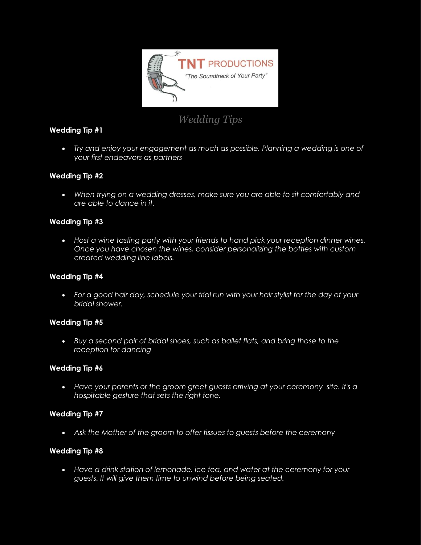

# *Wedding Tips*

# **Wedding Tip #1**

• Try and enjoy your engagement as much as possible. Planning a wedding is one of *your first endeavors as partners*

# **Wedding Tip #2**

 *When trying on a wedding dresses, make sure you are able to sit comfortably and are able to dance in it.*

# **Wedding Tip #3**

 *Host a wine tasting party with your friends to hand pick your reception dinner wines. Once you have chosen the wines, consider personalizing the bottles with custom created wedding line labels.*

#### **Wedding Tip #4**

 *For a good hair day, schedule your trial run with your hair stylist for the day of your bridal shower.*

#### **Wedding Tip #5**

 *Buy a second pair of bridal shoes, such as ballet flats, and bring those to the reception for dancing*

#### **Wedding Tip #6**

 *Have your parents or the groom greet guests arriving at your ceremony site. It's a hospitable gesture that sets the right tone.*

#### **Wedding Tip #7**

*Ask the Mother of the groom to offer tissues to guests before the ceremony*

#### **Wedding Tip #8**

 *Have a drink station of lemonade, ice tea, and water at the ceremony for your guests. It will give them time to unwind before being seated.*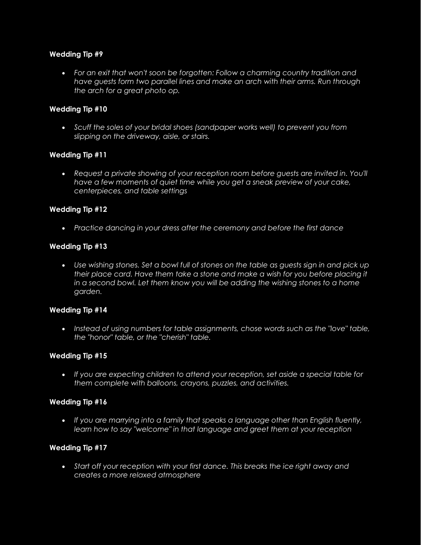#### **Wedding Tip #9**

 *For an exit that won't soon be forgotten: Follow a charming country tradition and have guests form two parallel lines and make an arch with their arms. Run through the arch for a great photo op.*

# **Wedding Tip #10**

 *Scuff the soles of your bridal shoes (sandpaper works well) to prevent you from slipping on the driveway, aisle, or stairs.*

# **Wedding Tip #11**

• Request a private showing of your reception room before guests are invited in. You'll *have a few moments of quiet time while you get a sneak preview of your cake, centerpieces, and table settings*

#### **Wedding Tip #12**

*Practice dancing in your dress after the ceremony and before the first dance*

#### **Wedding Tip #13**

 *Use wishing stones. Set a bowl full of stones on the table as guests sign in and pick up their place card. Have them take a stone and make a wish for you before placing it in a second bowl. Let them know you will be adding the wishing stones to a home garden.*

#### **Wedding Tip #14**

• Instead of using numbers for table assignments, chose words such as the "love" table, *the "honor" table, or the "cherish" table.*

#### **Wedding Tip #15**

 *If you are expecting children to attend your reception, set aside a special table for them complete with balloons, crayons, puzzles, and activities.*

#### **Wedding Tip #16**

 *If you are marrying into a family that speaks a language other than English fluently, learn how to say "welcome" in that language and greet them at your reception*

#### **Wedding Tip #17**

 *Start off your reception with your first dance. This breaks the ice right away and creates a more relaxed atmosphere*